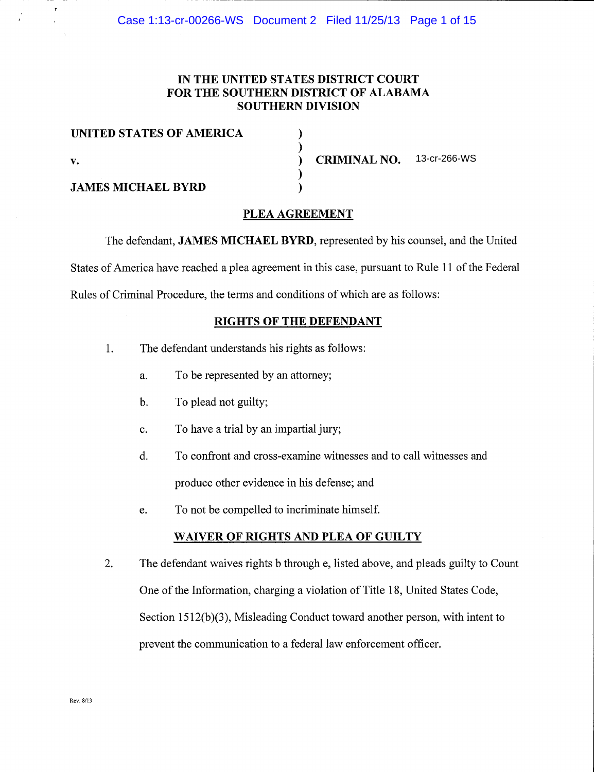# IN THE UNITED STATES DISTRICT COURT FOR THE SOUTHERN DISTRICT OF ALABAMA SOUTHERN DIVISION

| UNITED STATES OF AMERICA  |                                  |  |
|---------------------------|----------------------------------|--|
| v.                        | <b>CRIMINAL NO.</b> 13-cr-266-WS |  |
| <b>JAMES MICHAEL BYRD</b> |                                  |  |

# PLEA AGREEMENT

The defendant, JAMES MICHAEL BYRD, represented by his counsel, and the United States of America have reached a plea agreement in this case, pursuant to Rule 11 of the Federal Rules of Criminal Procedure. the terms and conditions of which are as follows:

### RIGHTS OF THE DEFENDANT

- 1. The defendant understands his rights as follows:
	- a. To be represented by an attomey;
	- b. To plead not guilty;
	- c. To have atrial by an impartial jury;
	- d. To confront and cross-examine witnesses and to call witnesses and produce other evidence in his defense; and
	- e. To not be compelled to incriminate himself.

## WAIVER OF RIGHTS AND PLEA OF GUILTY

2. The defendant waives rights b through e, listed above, and pleads guilty to Count One of the Information, charging a violation of Title 18, United States Code, Section  $1512(b)(3)$ , Misleading Conduct toward another person, with intent to prevent the communication to a federal law enforcement officer.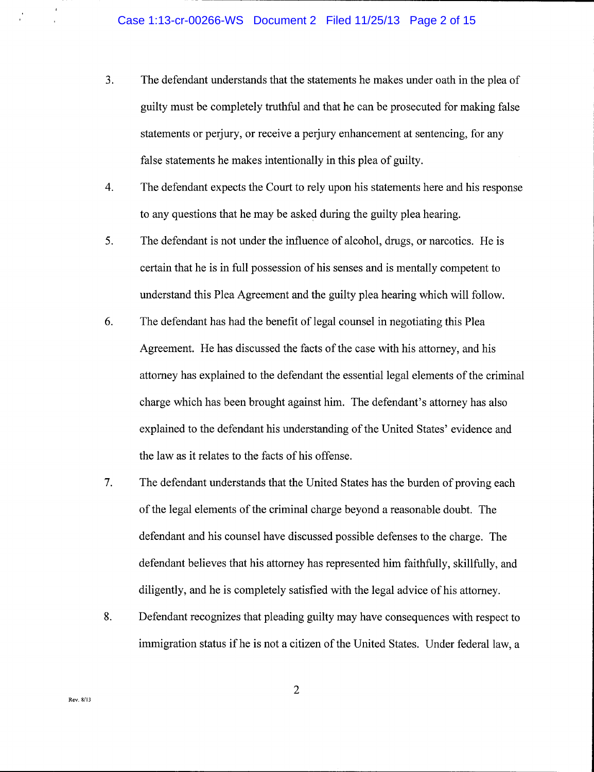- 3. The defendant understands that the statements he makes under oath in the plea of guilty must be completely truthful and that he can be prosecuted for making false statements or perjury, or receive a perjury enhancement at sentencing, for any false statements he makes intentionally in this plea of guilty.
- The defendant expects the Court to rely upon his statements here and his response to any questions that he may be asked during the guilty plea hearing. 4.
- The defendant is not under the influence of alcohol, drugs, or narcotics. He is certain that he is in full possession of his senses and is mentally competent to understand this Plea Agreement and the guilty plea hearing which will follow. 5.
- The defendant has had the benefit of legal counsel in negotiating this Plea Agreement. He has discussed the facts of the case with his attorney, and his attorney has explained to the defendant the essential legal elements of the criminal charge which has been brought against him. The defendant's attorney has also explained to the defendant his understanding of the United States' evidence and the law as it relates to the facts of his offense. 6.
- The defendant understands that the United States has the burden of proving each of the legal elements of the criminal charge beyond a reasonable doubt. The defendant and his counsel have discussed possible defenses to the charge. The defendant believes that his attorney has represented him faithfully, skillfully, and diligently, and he is completely satisfied with the legal advice of his attorney. 7.
- Defendant recognizes that pleading guilty may have consequences with respect to immigration status if he is not a citizen of the United States. Under federal law, a 8.

 $\overline{2}$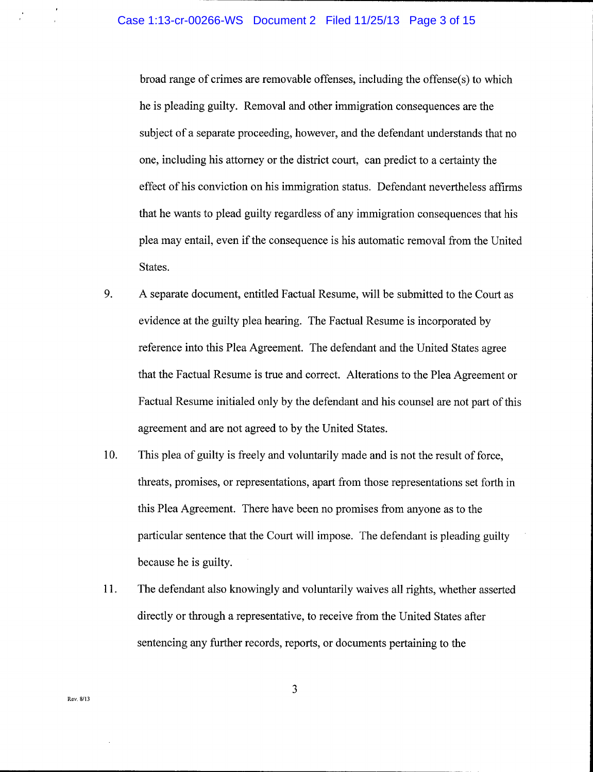broad range of crimes are removable offenses, including the offense(s) to which he is pleading guilty. Removal and other immigration consequences are the subject of a separate proceeding, however, and the defendant understands that no one, including his attorney or the district court, can predict to a certainty the effect of his conviction on his immigration status. Defendant nevertheless affirms that he wants to plead guilty regardless of any immigration consequences that his plea may entail, even if the consequence is his automatic removal from the United States.

- 9. A separate document, entitled Factual Resume, will be submitted to the Court as evidence at the guilty plea hearing. The Factual Resume is incorporated by reference into this Plea Agreement. The defendant and the United States agree that the Factual Resume is true and correct. Alterations to the Plea Agreement or Factual Resume initialed only by the defendant and his counsel are not part of this agreement and are not agreed to by the United States.
- 10. This plea of guilty is freely and voluntarily made and is not the result of force, threats, promises, or representations, apart from those representations set forth in this Plea Agreement. There have been no promises from anyone as to the particular sentence that the Court will impose. The defendant is pleading guilty because he is guilty.
- 11. The defendant also knowingly and voluntarily waives all rights, whether asserted directly or through a representative, to receive from the United States after sentencing any further records, reports, or documents pertaining to the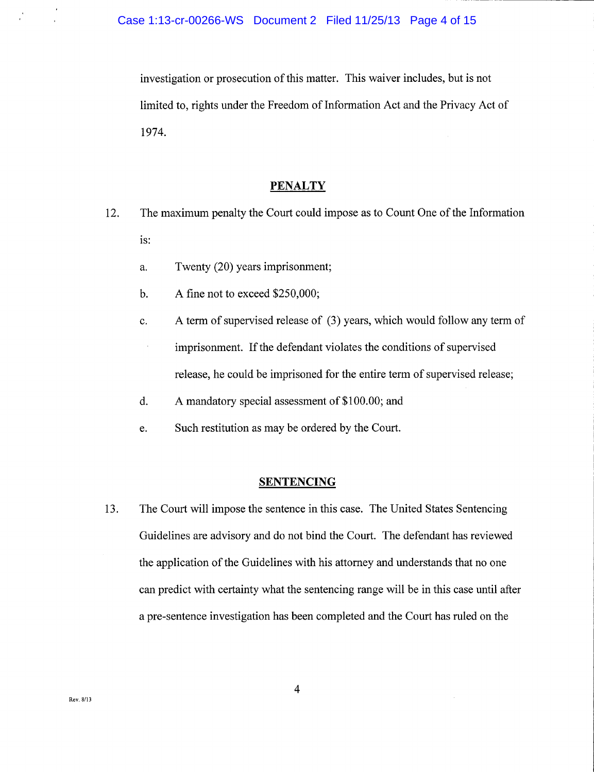investigation or prosecution of this matter. This waiver includes, but is not limited to, rights under the Freedom of Information Act and the Privacy Act of 1974.

#### **PENALTY**

- 12. The maximum penalty the Court could impose as to Count One of the Information is:
	- a. Twenty (20) years imprisonment;
	- b. A fine not to exceed  $$250,000;$
	- c. <sup>A</sup>term of supervised release of (3) years, which would follow any term of  $\bar{z}$ imprisonment. If the defendant violates the conditions of supervised release, he could be imprisoned for the entire term of supervised release;
	- d. <sup>A</sup>mandatory special assessment of \$100.00; and
	- e. Such restitution as may be ordered by the Court.

### SENTENCING

13. The Court will impose the sentence in this case. The United States Sentencing Guidelines are advisory and do not bind the Court. The defendant has reviewed the application of the Guidelines with his attorney and understands that no one can predict with certainty what the sentencing range will be in this case until after a pre-sentence investigation has been completed and the Court has ruled on the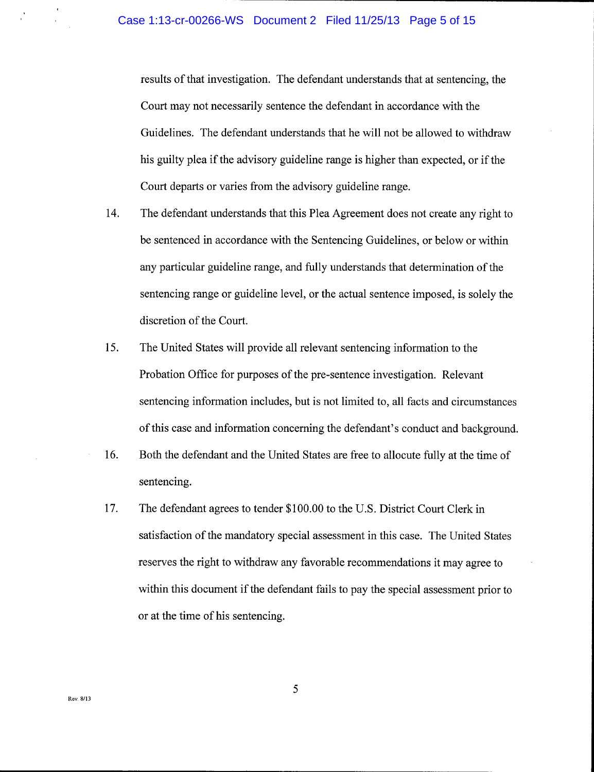results of that investigation. The defendant understands that at sentencing, the Court may not necessarily sentence the defendant in accordance with the Guidelines. The defendant understands that he will not be allowed to withdraw his guilty plea if the advisory guideline range is higher than expected, or if the Court departs or varies from the advisory guideline range.

- t4. The defendant understands that this Plea Agreement does not create any right to be sentenced in accordance with the Sentencing Guidelines, or below or within any particular guideline range, and fully understands that determination of the sentencing range or guideline level, or the actual sentence imposed, is solely the discretion of the Court.
- The United States will provide all relevant sentencing information to the Probation Office for purposes of the pre-sentence investigation. Relevant sentencing information includes, but is not limited to, all facts and circumstances of this case and information concerning the defendant's conduct and background. 15.
- Both the defendant and the United States are free to allocute fullv at the time of sentencing. T6,
- The defendant agrees to tender \$100.00 to the U.S. District Court Clerk in satisfaction of the mandatory special assessment in this case. The United States reserves the right to withdraw any favorable recommendations it may agree to within this document if the defendant fails to pay the special assessment prior to or at the time of his sentencing. t7.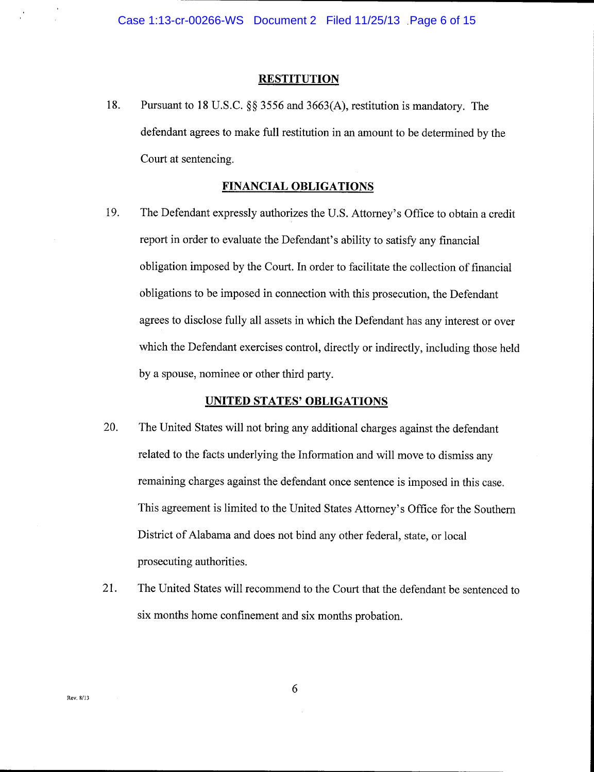#### **RESTITUTION**

18. Pursuant to 18 U.S.C. \$\$ 3556 and 3663(4), restitution is mandatory. The defendant agrees to make full restitution in an amount to be determined by the Court at sentencing.

#### FINANCIAL OBLIGATIONS

19. The Defendant expressly authorizes the U.S. Attorney's Office to obtain a credit report in order to evaluate the Defendant's ability to satisfy any financial obligation imposed by the Court. In order to facilitate the collection of financial obligations to be imposed in connection with this prosecution, the Defendant agrees to disclose fully all assets in which the Defendant has any interest or over which the Defendant exercises control, directly or indirectly, including those held by a spouse, nominee or other third party.

## UNITED STATES' OBLIGATIONS

- 20. The United States will not bring any additional charges against the defendant related to the facts underlying the Information and will move to dismiss any remaining charges against the defendant once sentence is imposed in this case. This agreement is limited to the United States Attomey's Office for the Southern District of Alabama and does not bind any other federal, state, or local prosecuting authorities.
- 21. The United States will recommend to the Court that the defendant be sentenced to six months home confinement and six months probation.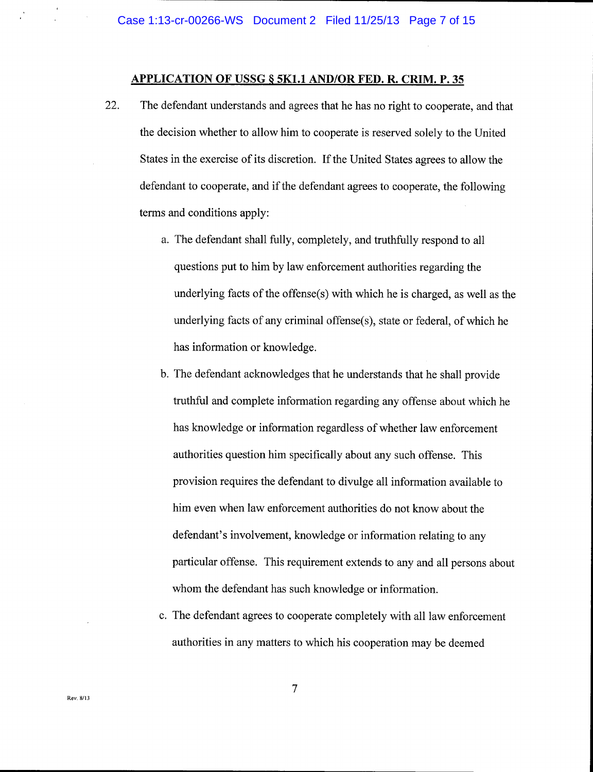### APPLICATION OF USSG 8 5K1.1 AND/OR FED. R. CRIM. P. 35

- 22. The defendant understands and agrees that he has no right to cooperate, and that the decision whether to allow him to cooperate is reserved solely to the Unitec States in the exercise of its discretion. If the United States agrees to allow the defendant to cooperate, and if the defendant agrees to cooperate, the following terms and conditions apply:
	- a. The defendant shall fully, completely, and truthfully respond to all questions put to him by law enforcement authorities regarding the underlying facts of the offense(s) with which he is charged, as well as the underlying facts of any criminal offense(s), state or federal, of which he has information or knowledge.
	- b. The defendant acknowledges that he understands that he shall provide truthful and complete information regarding any offense about which he has knowledge or information regardless of whether law enforcement authorities question him specifically about any such offense. This provision requires the defendant to divulge all information available to him even when law enforcement authorities do not know about the defendant's involvement, knowledge or information relating to any particular offense. This requirement extends to any and all persons about whom the defendant has such knowledge or information.
	- c. The defendant agrees to cooperate completely with all law enforcement authorities in any matters to which his cooperation may be deemed

 $\overline{7}$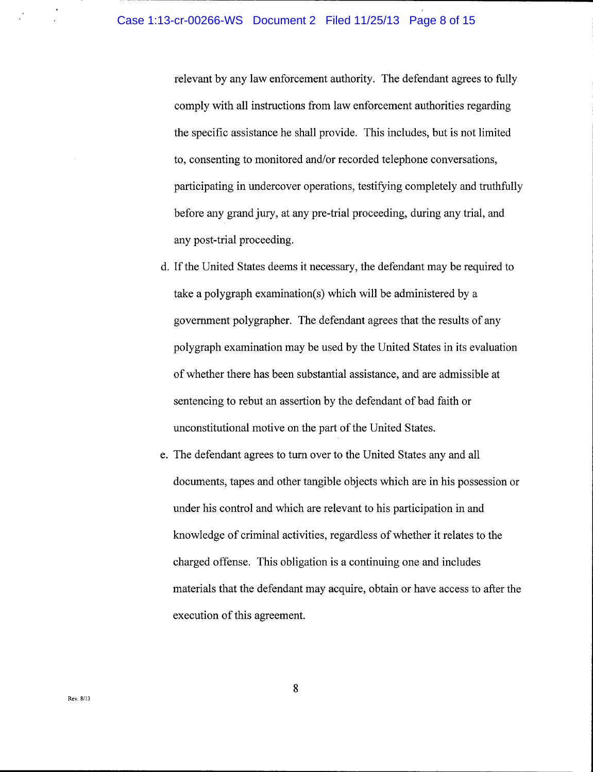relevant by any law enforcement authority. The defendant agrees to fully comply with all instructions from law enforcement authorities regarding the specific assistance he shall provide. This includes, but is not limited to, consenting to monitored and/or recorded telephone conversations, participating in undercover operations, testifying completely and truthfully before any grand jury, at any pre-trial proceeding, during any trial, and any post-trial proceeding.

- d. If the United States deems it necessary, the defendant may be required to take a polygraph examination(s) which will be administered by a government polygrapher. The defendant agrees that the results of any polygraph examination may be used by the United States in its evaluation of whether there has been substantial assistance, and are admissible at sentencing to rebut an assertion by the defendant of bad faith or unconstitutional motive on the part of the United States.
- e. The defendant agrees to turn over to the United States any and all documents, tapes and other tangible objects which are in his possession or under his control and which are relevant to his participation in and knowledge of criminal activities, regardless of whether it relates to the charged offense. This obligation is a continuing one and includes materials that the defendant may acquire, obtain or have access to after the execution of this agreement.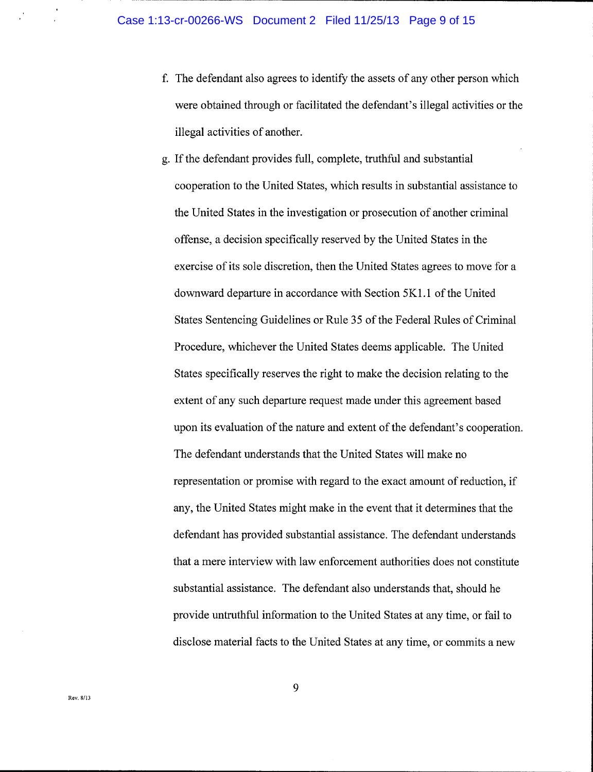- The defendant also agrees to identify the assets of any other person which were obtained through or facilitated the defendant's illegal activities or the illegal activities of another.
- g. If the defendant provides full, complete, truthful and substantial cooperation to the United States, which results in substantial assistance to the United States in the investigation or prosecution of another criminal offense, a decision specifically reserved by the United States in the exercise of its sole discretion, then the United States agrees to move for a downward departure in accordance with Section 5K1.1 of the United States Sentencing Guidelines or Rule 35 of the Federal Rules of Criminal Procedure, whichever the United States deems applicable. The United States specifically reserves the right to make the decision relating to the extent of any such departure request made under this agreement based upon its evaluation of the nature and extent of the defendant's cooperation. The defendant understands that the United States will make no representation or promise with regard to the exact amount of reduction, if any, the United States might make in the event that it determines that the defendant has provided substantial assistance. The defendant understands that a mere interview with law enforcement authorities does not constitute substantial assistance. The defendant also understands that, should he provide untruthful information to the United States at any time, or fail to disclose material facts to the United States at anv time. or commits a new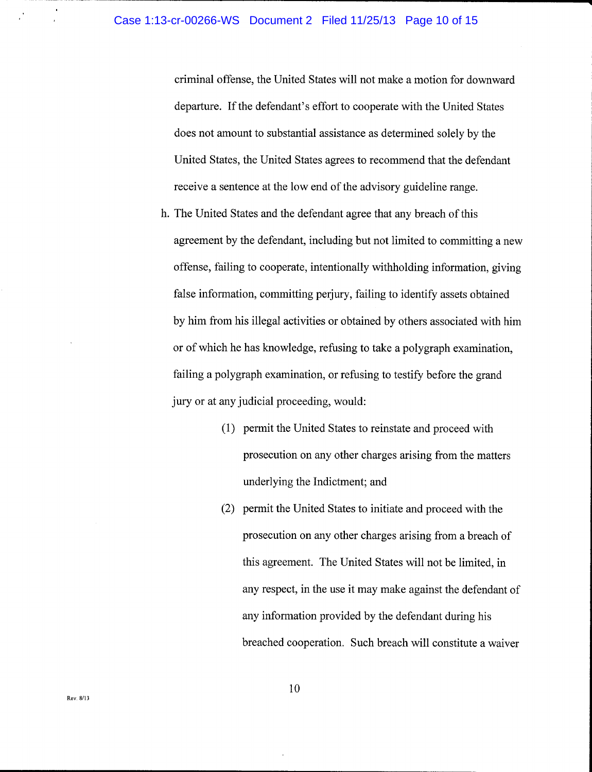criminal offense, the United States will not make a motion for downward departure. If the defendant's effort to cooperate with the United States does not amount to substantial assistance as determined solelv bv the United States, the United States agrees to recommend that the defendant receive a sentence at the low end of the advisory guideline range.

- h. The United States and the defendant agree that any breach of this agreement by the defendant, including but not limited to committing a new offense, failing to cooperate, intentionally withholding information, giving false information, committing perjury, failing to identify assets obtained by him from his illegal activities or obtained by others associated with him or of which he has knowledge, refusing to take a polygraph examination, failing a polygraph examination, or refusing to testify before the grand jury or at any judicial proceeding, would:
	- (1) permit the United States to reinstate and proceed with prosecution on any other charges arising from the matters underlying the Indictment; and
	- (2) permit the United States to initiate and proceed with the prosecution on any other charges arising from a breach of this agreement. The United States will not be limited, in any respect, in the use it may make against the defendant of any information provided by the defendant during his breached cooperation. Such breach will constitute a waiver

l0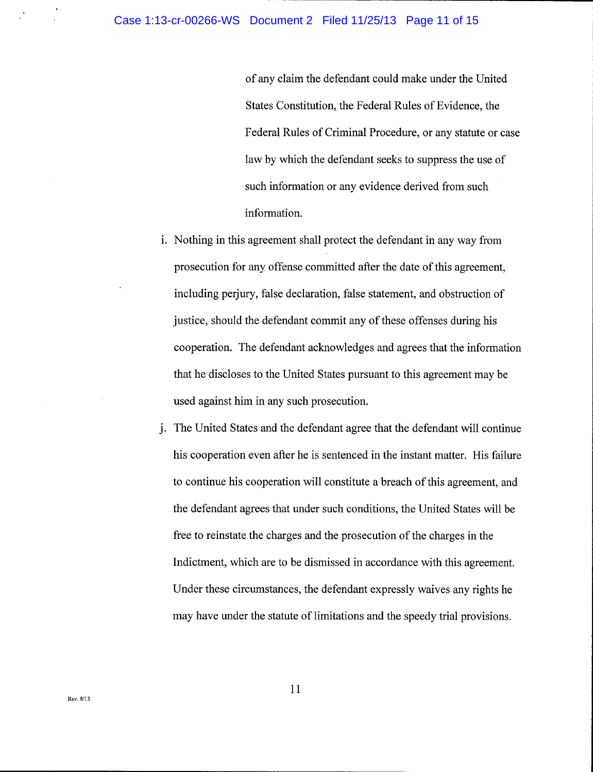#### Case 1:13-cr-00266-WS Document 2 Filed 11/25/13 Page 11 of 15

of anv claim the defendant could make under the United States Constitution, the Federal Rules of Evidence, the Federal Rules of Criminal Procedure, or any statute or case law by which the defendant seeks to suppress the use of such information or any evidence derived from such information.

- i. Nothing in this agreement shall protect the defendant in any way from prosecution for any offense committed after the date of this agreement, including perjury, false declaration, false statement, and obstruction of justice, should the defendant commit any of these offenses during his cooperation. The defendant acknowledges and agrees that the information that he discloses to the United States pursuant to this agreement may be used against him in any such prosecution.
- j. The United States and the defendant agree that the defendant will continue his cooperation even after he is sentenced in the instant matter. His failure to continue his cooperation will constitute a breach of this agreement, and the defendant agrees that under such conditions, the United States will be free to reinstate the charges and the prosecution of the charges in the Indictment, which are to be dismissed in accordance with this agreement. Under these circumstances, the defendant expressly waives any rights he may have under the statute of limitations and the speedy trial provisions.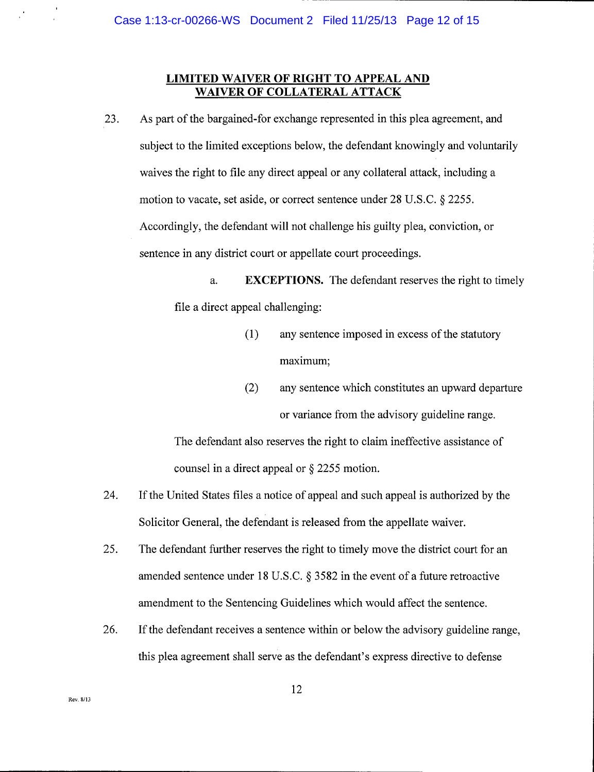## LIMITED WAIVER OF RIGHT TO APPEAL AND WAIVER OF COLLATERAL ATTACK

zJ. As part of the bargained-for exchange represented in this plea agreement, and subject to the limited exceptions below, the defendant knowingly and voluntarily waives the right to file any direct appeal or any collateral attack, including a motion to vacate, set aside, or correct sentence under 28 U.S.C. 5 2255. Accordingly, the defendant will not challenge his guilty plea, conviction, or sentence in any district court or appellate court proceedings.

> a. **EXCEPTIONS.** The defendant reserves the right to timely file a direct appeal challenging:

- (1) any sentence imposed in excess of the statutory maximum;
- (2) any sentence which constitutes an upward departure or variance from the advisory guideline range.

The defendant also reserves the right to claim ineffective assistance of counsel in a direct appeal or \$ 2255 motion.

- If the United States files a notice of appeal and such appeal is authorized by the Solicitor General, the defendant is released from the appellate waiver. 24.
- The defendant further reserves the right to timely move the district court for an amended sentence under 18 U.S.C. \$ 3582 in the event of a future retroactive amendment to the Sentencing Guidelines which would affect the sentence. 25.
- If the defendant receives a sentence within or below the advisory guideline range, this plea agreement shall serve as the defendant's express directive to defense 26.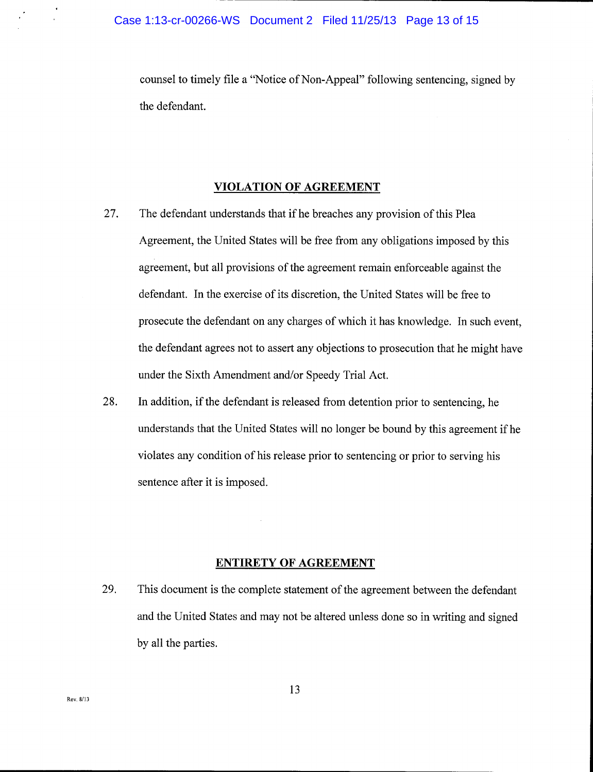counsel to timely file a "Notice of Non-Appeal" following sentencing, signed by the defendant.

#### VIOLATION OF AGREEMENT

- 27. The defendant understands that if he breaches any provision of this Plea Agreement, the United States will be free from any obligations imposed by this agreement, but all provisions of the agreement remain enforceable against the defendant. In the exercise of its discretion, the United States will be free to prosecute the defendant on any charges of which it has knowledge. In such event, the defendant agrees not to assert any objections to prosecution that he might have under the Sixth Amendment and/or Speedy Trial Act.
- 28. In addition, if the defendant is released from detention prior to sentencing, he understands that the United States will no longer be bound by this agreement if he violates any condition of his release prior to sentencing or prior to serving his sentence after it is imposed.

#### ENTIRETY OF AGREEMENT

29. This document is the complete statement of the agreement between the defendant and the United States and may not be altered unless done so in writing and signed by all the parties.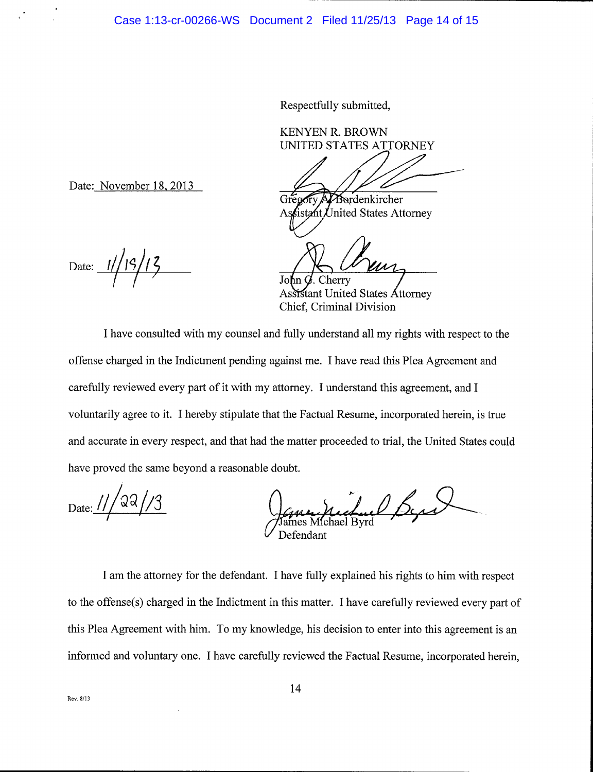Respectfully submitted,

KENYEN R. BROWN UNITED STATES ATTORNEY

Bordenkircher

tant United States Attorney

Cherry

Chief, Criminal Division Assistant United States Attorney

I have consulted with my counsel and fully understand all my rights with respect to the offense charged in the Indictment pending against me. I have read this Plea Agreement and carefully reviewed every part of it with my attomey. I understand this agreement, and I voluntarily agree to it. I hereby stipulate that the Factual Resume, incorporated herein, is true and accurate in every respect, and that had the matter proceeded to trial, the United States could have proved the same beyond a reasonable doubt.

Date:  $11/22/3$ 

Aucteur Byrs Defendant

I am the attomey for the defendant. I have fully explained his rights to him with respect to the offense(s) charged in the Indictment in this matter. I have carefully reviewed every part of this Plea Agreement with him. To my knowledge, his decision to enter into this agreement is an informed and voluntary one. I have carefully reviewed the Factual Resume, incorporated herein,

Date: November 18, 2013

Date:  $1// 19/13$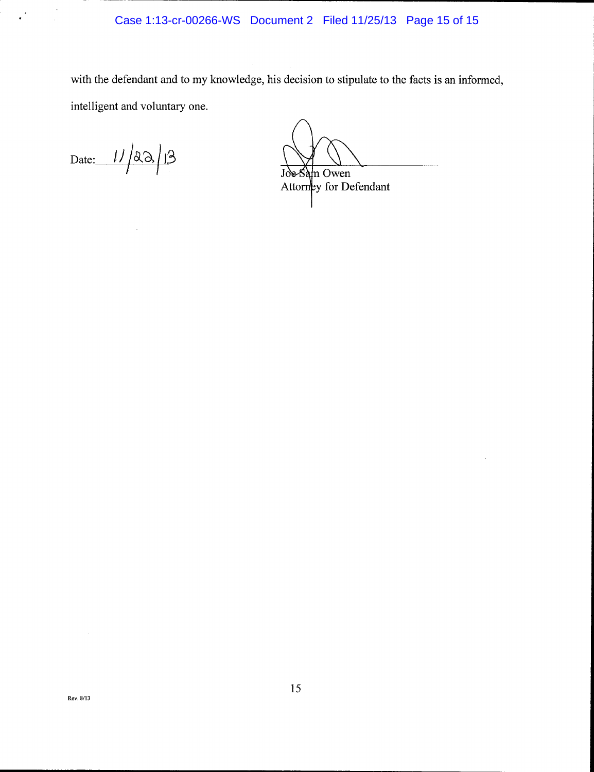with the defendant and to my knowledge, his decision to stipulate to the facts is an informed, intelligent and voluntary one.

Date:  $11/23/13$ 

 $\frac{1}{2} \sum_{i=1}^{n} \frac{1}{2} \sum_{j=1}^{n} \frac{1}{2} \sum_{j=1}^{n} \frac{1}{2} \sum_{j=1}^{n} \frac{1}{2} \sum_{j=1}^{n} \frac{1}{2} \sum_{j=1}^{n} \frac{1}{2} \sum_{j=1}^{n} \frac{1}{2} \sum_{j=1}^{n} \frac{1}{2} \sum_{j=1}^{n} \frac{1}{2} \sum_{j=1}^{n} \frac{1}{2} \sum_{j=1}^{n} \frac{1}{2} \sum_{j=1}^{n} \frac{1}{2} \sum_{j=1}^{n$ 

m Owen Joe-Sa Attorney for Defendant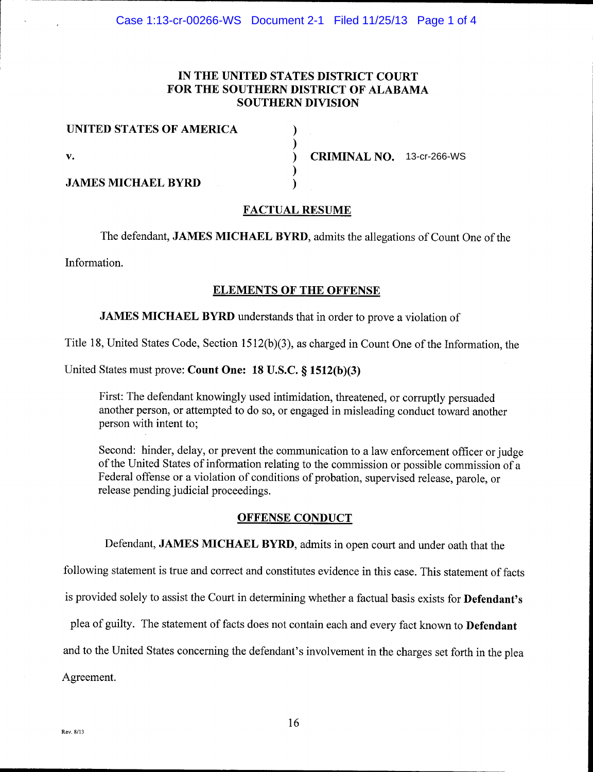# IN THE UNITED STATES DISTRICT COURT FOR THE SOUTHERN DISTRICT OF ALABAMA SOUTHERN DIVISION

)

)<br>)

) )

| UNITED STATES OF AMERICA  |  |
|---------------------------|--|
| v.                        |  |
| <b>JAMES MICHAEL BYRD</b> |  |

 $\sum_{n=1}^{\infty}$  CRIMINAL NO. 13-cr-266-WS

# FACTUAL RESUME

The defendant, JAMES MICHAEL BYRD, admits the allegations of Count One of the

Information.

## ELEMENTS OF THE OFFENSE

# JAMES MICHAEL BYRD understands that in order to prove a violation of

Title 18, United States Code, Section  $1512(b)(3)$ , as charged in Count One of the Information, the

## United States must prove: Count One:  $18$  U.S.C.  $\S$  1512(b)(3)

First: The defendant knowingly used intimidation, threatened, or corruptly persuaded another person, or attempted to do so, or engaged in misleading conduct toward another person with intent to;

Second: hinder, delay, or prevent the communication to a law enforcement officer or judge of the United States of information relating to the commission or possible commission of <sup>a</sup> Federal offense or a violation of conditions of probation, supervised release, parole, or release pending judicial proceedings.

### OFFENSE CONDUCT

Defendant, JAMES MICHAEL BYRD, admits in open court and under oath that the

following statement is true and correct and constitutes evidence in this case. This statement of facts

is provided solely to assist the Court in determining whether a factual basis exists for Defendant's

plea of guilty. The statement of facts does not contain each and every fact known to Defendant

and to the United States concerning the defendant's involvement in the charges set forth in the plea

Agreement.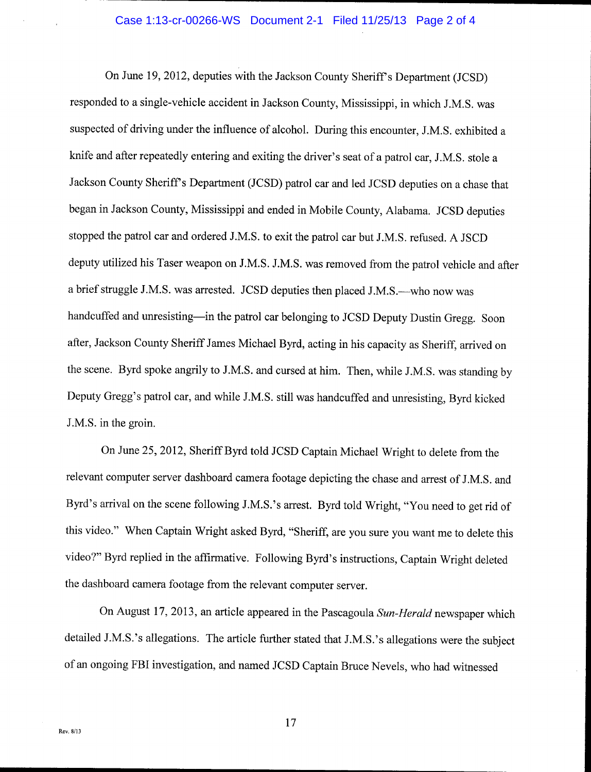## Case 1:13-cr-00266-WS Document 2-1 Filed 11/25/13 Page 2 of 4

On June 19,2012, deputies with the Jackson County SherifPs Department (JCSD) responded to a single-vehicle accident in Jackson County, Mississippi, in which J.M.S. was suspected of driving under the influence of alcohol. During this encounter, J.M.S. exhibited <sup>a</sup> knife and after repeatedly entering and exiting the driver's seat of a patrol car, J.M.S. stole <sup>a</sup> Jackson County Sheriff's Department (JCSD) patrol car and led JCSD deputies on a chase that began in Jackson County, Mississippi and ended in Mobile County, Alabama. JCSD deputies stopped the patrol car and ordered J.M.S. to exit the patrol car but J.M.S. refused. A JSCD deputy utilized his Taser weapon on J.M.S. J.M.S. was removed from the patrol vehicle and after a brief struggle J.M.S. was arrested. JCSD deputies then placed J.M.S.—who now was handcuffed and unresisting—in the patrol car belonging to JCSD Deputy Dustin Gregg. Soon after, Jackson County Sheriff James Michael Byrd, acting in his capacity as Sheriff, arrived on the scene. Byrd spoke angrily to J.M.S. and cursed at him. Then, while J.M.S. was standing by Deputy Gregg's patrol car, and while J.M.S. still was handcuffed and unresisting, Byrd kicked J.M.S. in the groin.

On June 25,2012, Sheriff Byrd told JCSD Captain Michael Wright to delete from the relevant computer server dashboard camera footage depicting the chase and arrest of J.M.S. and Byrd's arrival on the scene following J.M.S.'s arrest. Byrd told Wright, "You need to get rid of this video." When Captain Wright asked Byrd, "Sheriff, are you sure you want me to delete this video?" Byrd replied in the affirmative. Following Byrd's instructions, Captain Wright deleted the dashboard camera footage from the relevant computer server.

On August 17, 2013, an article appeared in the Pascagoula Sun-Herald newspaper which detailed J.M.S.'s allegations. The article further stated that J.M.S.'s allegations were the subject of an ongoing FBI investigation, and named JCSD Captain Bruce Nevels, who had witnessed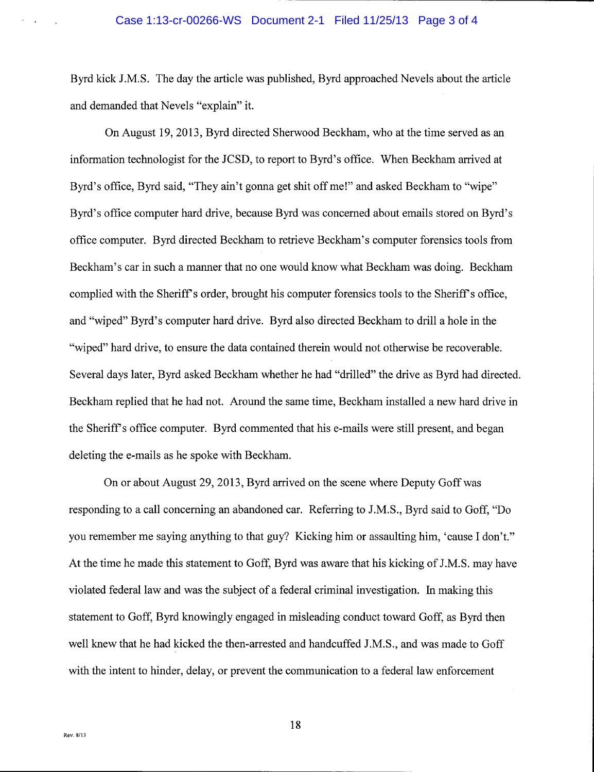Byrd kick J.M.S. The day the article was published, Byrd approached Nevels about the article and demanded that Nevels "explain" it.

On August 19,2013, Byrd directed Sherwood Beckham, who at the time served as an information technologist for the JCSD, to report to Byrd's office. When Beckham arrived at Byrd's office, Byrd said, "They ain't gonna get shit off me!" and asked Beckham to "wipe" Byrd's office computer hard drive, because Byrd was concemed about emails stored on Byrd's office computer. Byrd directed Beckham to retrieve Beckham's computer forensics tools from Beckham's car in such a manner that no one would know what Beckham was doing. Beckham complied with the Sheriff s order, brought his computer forensics tools to the Sheriff s office, and "wiped" Byrd's computer hard drive. Byrd also directed Beckham to drill a hole in the "wiped" hard drive, to ensure the data contained therein would not otherwise be recoverable. Several days later, Byrd asked Beckham whether he had "drilled" the drive as Byrd had directed. Beckham replied that he had not. Around the same time, Beckham installed a new hard drive in the Sheriff's office computer. Byrd commented that his e-mails were still present, and began deleting the e-mails as he spoke with Beckham.

On or about August 29,2013, Byrd arrived on the scene where Deputy Goff was responding to a call concerning an abandoned car. Refening to J.M.S., Byrd said to Goff, "Do you remember me saying anything to that guy? Kicking him or assaulting him, 'cause I don't." At the time he made this statement to Goff, Byrd was aware that his kicking of J.M.S. may have violated federal law and was the subject of a federal criminal investigation. In making this statement to Goff, Byrd knowingly engaged in misleading conduct toward Goff, as Byrd then well knew that he had kicked the then-arrested and handcuffed J.M.S., and was made to Goff with the intent to hinder, delay, or prevent the communication to a federal law enforcement